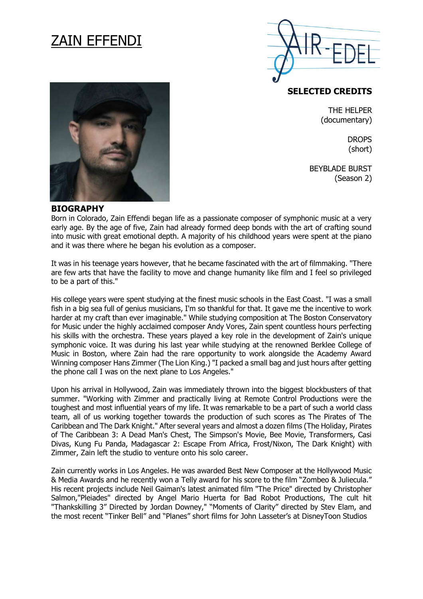# ZAIN EFFENDI



**SELECTED CREDITS** 

THE HELPER (documentary)

> **DROPS** (short)

BEYBLADE BURST (Season 2)



#### **BIOGRAPHY**

Born in Colorado, Zain Effendi began life as a passionate composer of symphonic music at a very early age. By the age of five, Zain had already formed deep bonds with the art of crafting sound into music with great emotional depth. A majority of his childhood years were spent at the piano and it was there where he began his evolution as a composer.

It was in his teenage years however, that he became fascinated with the art of filmmaking. "There are few arts that have the facility to move and change humanity like film and I feel so privileged to be a part of this."

His college years were spent studying at the finest music schools in the East Coast. "I was a small fish in a big sea full of genius musicians, I'm so thankful for that. It gave me the incentive to work harder at my craft than ever imaginable." While studying composition at The Boston Conservatory for Music under the highly acclaimed composer Andy Vores, Zain spent countless hours perfecting his skills with the orchestra. These years played a key role in the development of Zain's unique symphonic voice. It was during his last year while studying at the renowned Berklee College of Music in Boston, where Zain had the rare opportunity to work alongside the Academy Award Winning composer Hans Zimmer (The Lion King.) "I packed a small bag and just hours after getting the phone call I was on the next plane to Los Angeles."

Upon his arrival in Hollywood, Zain was immediately thrown into the biggest blockbusters of that summer. "Working with Zimmer and practically living at Remote Control Productions were the toughest and most influential years of my life. It was remarkable to be a part of such a world class team, all of us working together towards the production of such scores as The Pirates of The Caribbean and The Dark Knight." After several years and almost a dozen films (The Holiday, Pirates of The Caribbean 3: A Dead Man's Chest, The Simpson's Movie, Bee Movie, Transformers, Casi Divas, Kung Fu Panda, Madagascar 2: Escape From Africa, Frost/Nixon, The Dark Knight) with Zimmer, Zain left the studio to venture onto his solo career.

Zain currently works in Los Angeles. He was awarded Best New Composer at the Hollywood Music & Media Awards and he recently won a Telly award for his score to the film "Zombeo & Juliecula." His recent projects include Neil Gaiman's latest animated film "The Price" directed by Christopher Salmon,"Pleiades" directed by Angel Mario Huerta for Bad Robot Productions, The cult hit "Thankskilling 3" Directed by Jordan Downey," "Moments of Clarity" directed by Stev Elam, and the most recent "Tinker Bell" and "Planes" short films for John Lasseter's at DisneyToon Studios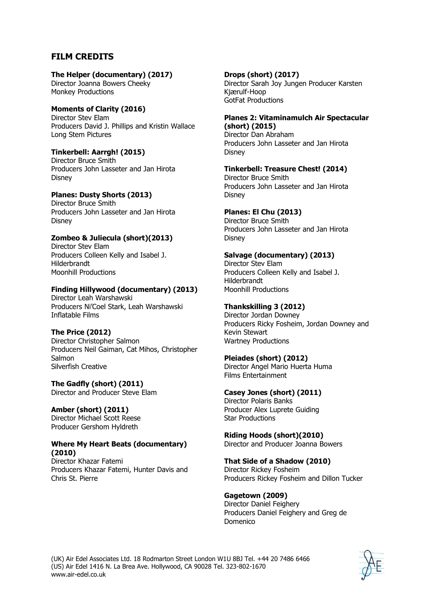# **FILM CREDITS**

## **The Helper (documentary) (2017)**

Director Joanna Bowers Cheeky Monkey Productions

## **Moments of Clarity (2016)**

Director Stev Elam Producers David J. Phillips and Kristin Wallace Long Stem Pictures

## **Tinkerbell: Aarrgh! (2015)**

Director Bruce Smith Producers John Lasseter and Jan Hirota Disney

# **Planes: Dusty Shorts (2013)**

Director Bruce Smith Producers John Lasseter and Jan Hirota Disney

## **Zombeo & Juliecula (short)(2013)**

Director Stev Elam Producers Colleen Kelly and Isabel J. Hilderbrandt Moonhill Productions

## **Finding Hillywood (documentary) (2013)**

Director Leah Warshawski Producers Ni'Coel Stark, Leah Warshawski Inflatable Films

## **The Price (2012)**

Director Christopher Salmon Producers Neil Gaiman, Cat Mihos, Christopher Salmon Silverfish Creative

**The Gadfly (short) (2011)** Director and Producer Steve Elam

**Amber (short) (2011)** Director Michael Scott Reese Producer Gershom Hyldreth

#### **Where My Heart Beats (documentary) (2010)**

Director Khazar Fatemi Producers Khazar Fatemi, Hunter Davis and Chris St. Pierre

#### **Drops (short) (2017)** Director Sarah Joy Jungen Producer Karsten Kjærulf-Hoop GotFat Productions

## **Planes 2: Vitaminamulch Air Spectacular (short) (2015)**

Director Dan Abraham Producers John Lasseter and Jan Hirota **Disney** 

**Tinkerbell: Treasure Chest! (2014)** Director Bruce Smith Producers John Lasseter and Jan Hirota Disney

## **Planes: El Chu (2013)**

Director Bruce Smith Producers John Lasseter and Jan Hirota **Disney** 

## **Salvage (documentary) (2013)**

Director Stev Elam Producers Colleen Kelly and Isabel J. Hilderbrandt Moonhill Productions

## **Thankskilling 3 (2012)**

Director Jordan Downey Producers Ricky Fosheim, Jordan Downey and Kevin Stewart Wartney Productions

## **Pleiades (short) (2012)**

Director Angel Mario Huerta Huma Films Entertainment

## **Casey Jones (short) (2011)**

Director Polaris Banks Producer Alex Luprete Guiding Star Productions

**Riding Hoods (short)(2010)** Director and Producer Joanna Bowers

**That Side of a Shadow (2010)** Director Rickey Fosheim Producers Rickey Fosheim and Dillon Tucker

# **Gagetown (2009)**

Director Daniel Feighery Producers Daniel Feighery and Greg de Domenico